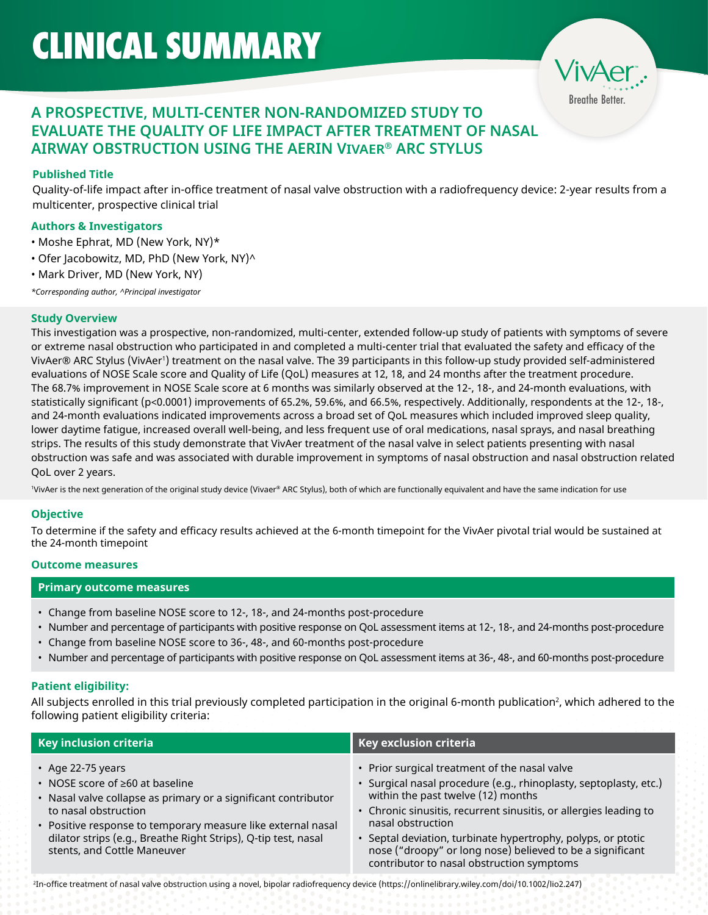Breathe Better.

# **A PROSPECTIVE, MULTI-CENTER NON-RANDOMIZED STUDY TO EVALUATE THE QUALITY OF LIFE IMPACT AFTER TREATMENT OF NASAL AIRWAY OBSTRUCTION USING THE AERIN VIVAER® ARC STYLUS**

## **Published Title**

Quality-of-life impact after in-office treatment of nasal valve obstruction with a radiofrequency device: 2-year results from a multicenter, prospective clinical trial

## **Authors & Investigators**

- Moshe Ephrat, MD (New York, NY)\*
- Ofer Jacobowitz, MD, PhD (New York, NY)^
- Mark Driver, MD (New York, NY)

*\*Corresponding author, ^Principal investigator*

### **Study Overview**

This investigation was a prospective, non-randomized, multi-center, extended follow-up study of patients with symptoms of severe or extreme nasal obstruction who participated in and completed a multi-center trial that evaluated the safety and efficacy of the VivAer® ARC Stylus (VivAer') treatment on the nasal valve. The 39 participants in this follow-up study provided self-administered evaluations of NOSE Scale score and Quality of Life (QoL) measures at 12, 18, and 24 months after the treatment procedure. The 68.7% improvement in NOSE Scale score at 6 months was similarly observed at the 12-, 18-, and 24-month evaluations, with statistically significant (p<0.0001) improvements of 65.2%, 59.6%, and 66.5%, respectively. Additionally, respondents at the 12-, 18-, and 24-month evaluations indicated improvements across a broad set of QoL measures which included improved sleep quality, lower daytime fatigue, increased overall well-being, and less frequent use of oral medications, nasal sprays, and nasal breathing strips. The results of this study demonstrate that VivAer treatment of the nasal valve in select patients presenting with nasal obstruction was safe and was associated with durable improvement in symptoms of nasal obstruction and nasal obstruction related QoL over 2 years.

1 VivAer is the next generation of the original study device (Vivaer® ARC Stylus), both of which are functionally equivalent and have the same indication for use

## **Objective**

To determine if the safety and efficacy results achieved at the 6-month timepoint for the VivAer pivotal trial would be sustained at the 24-month timepoint

#### **Outcome measures**

#### **Primary outcome measures**

- Change from baseline NOSE score to 12-, 18-, and 24-months post-procedure
- Number and percentage of participants with positive response on QoL assessment items at 12-, 18-, and 24-months post-procedure
- Change from baseline NOSE score to 36-, 48-, and 60-months post-procedure
- Number and percentage of participants with positive response on QoL assessment items at 36-, 48-, and 60-months post-procedure

## **Patient eligibility:**

All subjects enrolled in this trial previously completed participation in the original 6-month publication<sup>2</sup>, which adhered to the following patient eligibility criteria:

| Key inclusion criteria                                                                                                                                                                                                                                                                                          | Key exclusion criteria                                                                                                                                                                                                                                                                                                                                                                                                       |
|-----------------------------------------------------------------------------------------------------------------------------------------------------------------------------------------------------------------------------------------------------------------------------------------------------------------|------------------------------------------------------------------------------------------------------------------------------------------------------------------------------------------------------------------------------------------------------------------------------------------------------------------------------------------------------------------------------------------------------------------------------|
| • Age 22-75 years<br>• NOSE score of ≥60 at baseline<br>• Nasal valve collapse as primary or a significant contributor<br>to nasal obstruction<br>• Positive response to temporary measure like external nasal<br>dilator strips (e.g., Breathe Right Strips), Q-tip test, nasal<br>stents, and Cottle Maneuver | • Prior surgical treatment of the nasal valve<br>· Surgical nasal procedure (e.g., rhinoplasty, septoplasty, etc.)<br>within the past twelve (12) months<br>• Chronic sinusitis, recurrent sinusitis, or allergies leading to<br>nasal obstruction<br>• Septal deviation, turbinate hypertrophy, polyps, or ptotic<br>nose ("droopy" or long nose) believed to be a significant<br>contributor to nasal obstruction symptoms |

2 In-office treatment of nasal valve obstruction using a novel, bipolar radiofrequency device (https://onlinelibrary.wiley.com/doi/10.1002/lio2.247)